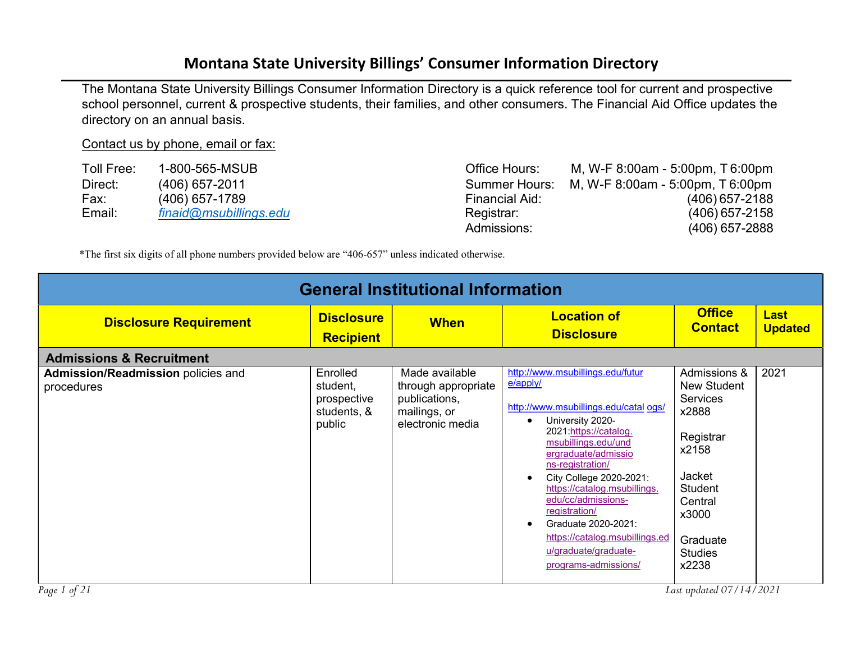## Montana State University Billings' Consumer Information Directory

The Montana State University Billings Consumer Information Directory is a quick reference tool for current and prospective school personnel, current & prospective students, their families, and other consumers. The Financial Aid Office updates the directory on an annual basis.

## Contact us by phone, email or fax:

| Toll Free: | 1-800-565-MSUB         | Office Hours:  | M, W-F 8:00am - 5:00pm, T 6:00pm               |
|------------|------------------------|----------------|------------------------------------------------|
| Direct:    | $(406)$ 657-2011       |                | Summer Hours: M, W-F 8:00am - 5:00pm, T 6:00pm |
| Fax:       | $(406)$ 657-1789       | Financial Aid: | $(406)$ 657-2188                               |
| Email:     | finaid@msubillings.edu | Registrar:     | $(406)$ 657-2158                               |
|            |                        | Admissions:    | $(406)$ 657-2888                               |

\*The first six digits of all phone numbers provided below are "406-657" unless indicated otherwise.

| <b>General Institutional Information</b>                |                                                              |                                                                                            |                                                                                                                                                                                                                                                                                                                                                                                                                    |                                                                                                                                                                      |                               |  |  |
|---------------------------------------------------------|--------------------------------------------------------------|--------------------------------------------------------------------------------------------|--------------------------------------------------------------------------------------------------------------------------------------------------------------------------------------------------------------------------------------------------------------------------------------------------------------------------------------------------------------------------------------------------------------------|----------------------------------------------------------------------------------------------------------------------------------------------------------------------|-------------------------------|--|--|
| <b>Disclosure Requirement</b>                           | <b>Disclosure</b><br><b>Recipient</b>                        | <b>When</b>                                                                                | <b>Location of</b><br><b>Disclosure</b>                                                                                                                                                                                                                                                                                                                                                                            | <b>Office</b><br><b>Contact</b>                                                                                                                                      | <b>Last</b><br><b>Updated</b> |  |  |
| <b>Admissions &amp; Recruitment</b>                     |                                                              |                                                                                            |                                                                                                                                                                                                                                                                                                                                                                                                                    |                                                                                                                                                                      |                               |  |  |
| <b>Admission/Readmission policies and</b><br>procedures | Enrolled<br>student,<br>prospective<br>students, &<br>public | Made available<br>through appropriate<br>publications,<br>mailings, or<br>electronic media | http://www.msubillings.edu/futur<br>$e$ /apply/<br>http://www.msubillings.edu/catal ogs/<br>University 2020-<br>2021:https://catalog.<br>msubillings.edu/und<br>ergraduate/admissio<br>ns-registration/<br>City College 2020-2021:<br>https://catalog.msubillings.<br>edu/cc/admissions-<br>registration/<br>Graduate 2020-2021:<br>https://catalog.msubillings.ed<br>u/graduate/graduate-<br>programs-admissions/ | Admissions &<br>New Student<br><b>Services</b><br>x2888<br>Registrar<br>x2158<br>Jacket<br><b>Student</b><br>Central<br>x3000<br>Graduate<br><b>Studies</b><br>x2238 | 2021                          |  |  |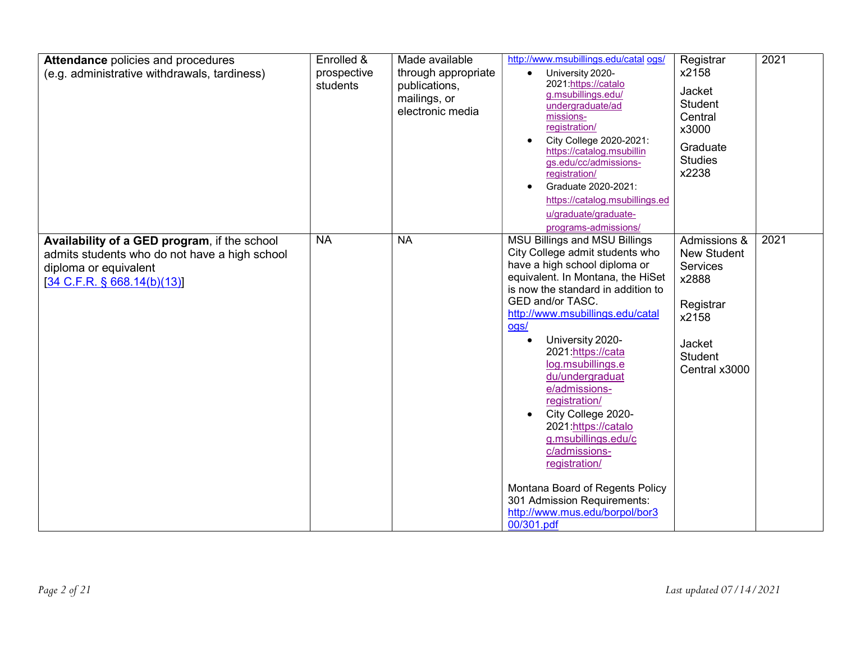| <b>Attendance policies and procedures</b><br>(e.g. administrative withdrawals, tardiness)                                                             | Enrolled &<br>prospective<br>students | Made available<br>through appropriate<br>publications,<br>mailings, or<br>electronic media | http://www.msubillings.edu/catal ogs/<br>University 2020-<br>2021:https://catalo<br>g.msubillings.edu/<br>undergraduate/ad<br>missions-<br>registration/<br>City College 2020-2021:<br>https://catalog.msubillin<br>gs.edu/cc/admissions-<br>registration/<br>Graduate 2020-2021:<br>$\bullet$<br>https://catalog.msubillings.ed<br>u/graduate/graduate-<br>programs-admissions/                                                                                                                                                                                                               | Registrar<br>x2158<br>Jacket<br>Student<br>Central<br>x3000<br>Graduate<br><b>Studies</b><br>x2238                         | 2021 |
|-------------------------------------------------------------------------------------------------------------------------------------------------------|---------------------------------------|--------------------------------------------------------------------------------------------|------------------------------------------------------------------------------------------------------------------------------------------------------------------------------------------------------------------------------------------------------------------------------------------------------------------------------------------------------------------------------------------------------------------------------------------------------------------------------------------------------------------------------------------------------------------------------------------------|----------------------------------------------------------------------------------------------------------------------------|------|
| Availability of a GED program, if the school<br>admits students who do not have a high school<br>diploma or equivalent<br>[34 C.F.R. § 668.14(b)(13)] | <b>NA</b>                             | <b>NA</b>                                                                                  | <b>MSU Billings and MSU Billings</b><br>City College admit students who<br>have a high school diploma or<br>equivalent. In Montana, the HiSet<br>is now the standard in addition to<br>GED and/or TASC.<br>http://www.msubillings.edu/catal<br>ogs/<br>University 2020-<br>2021:https://cata<br>log.msubillings.e<br>du/undergraduat<br>e/admissions-<br>registration/<br>City College 2020-<br>2021:https://catalo<br>g.msubillings.edu/c<br>c/admissions-<br>registration/<br>Montana Board of Regents Policy<br>301 Admission Requirements:<br>http://www.mus.edu/borpol/bor3<br>00/301.pdf | Admissions &<br><b>New Student</b><br>Services<br>x2888<br>Registrar<br>x2158<br>Jacket<br><b>Student</b><br>Central x3000 | 2021 |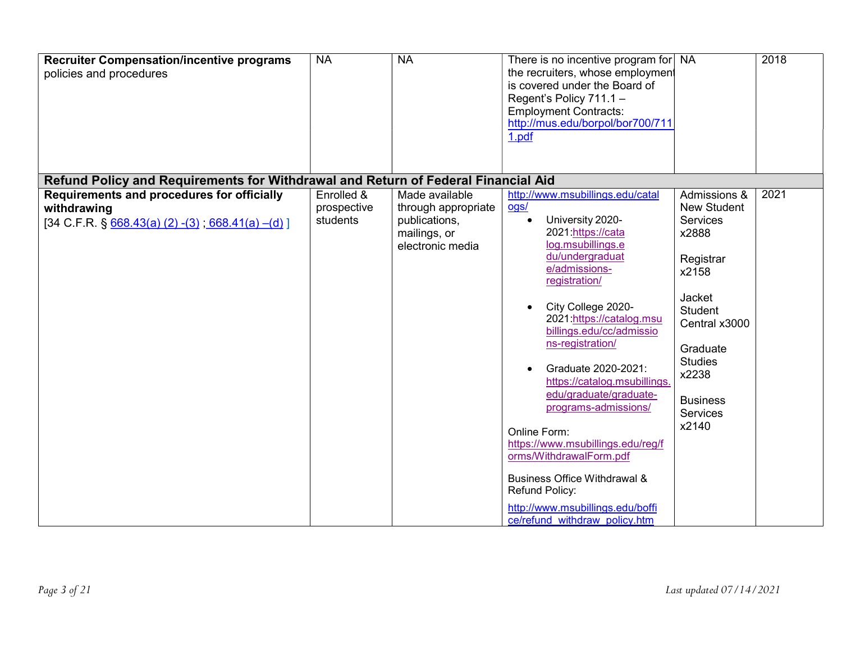| <b>Recruiter Compensation/incentive programs</b><br>policies and procedures                                                 | <b>NA</b>                             | <b>NA</b>                                                                                  | There is no incentive program for NA<br>the recruiters, whose employment<br>is covered under the Board of<br>Regent's Policy 711.1 -<br><b>Employment Contracts:</b><br>http://mus.edu/borpol/bor700/711<br>1.pdf                                                                                                                                                                                                                                                                                                                                                                        |                                                                                                                                                                                                           | 2018 |
|-----------------------------------------------------------------------------------------------------------------------------|---------------------------------------|--------------------------------------------------------------------------------------------|------------------------------------------------------------------------------------------------------------------------------------------------------------------------------------------------------------------------------------------------------------------------------------------------------------------------------------------------------------------------------------------------------------------------------------------------------------------------------------------------------------------------------------------------------------------------------------------|-----------------------------------------------------------------------------------------------------------------------------------------------------------------------------------------------------------|------|
| Refund Policy and Requirements for Withdrawal and Return of Federal Financial Aid                                           |                                       |                                                                                            |                                                                                                                                                                                                                                                                                                                                                                                                                                                                                                                                                                                          |                                                                                                                                                                                                           |      |
| Requirements and procedures for officially<br>withdrawing<br>$[34 \text{ C.F.R. } \S 668.43(a) (2) - (3); 668.41(a) - (d)]$ | Enrolled &<br>prospective<br>students | Made available<br>through appropriate<br>publications,<br>mailings, or<br>electronic media | http://www.msubillings.edu/catal<br>ogs/<br>University 2020-<br>2021:https://cata<br>log.msubillings.e<br>du/undergraduat<br>e/admissions-<br>registration/<br>City College 2020-<br>2021:https://catalog.msu<br>billings.edu/cc/admissio<br>ns-registration/<br>Graduate 2020-2021:<br>https://catalog.msubillings.<br>edu/graduate/graduate-<br>programs-admissions/<br>Online Form:<br>https://www.msubillings.edu/reg/f<br>orms/WithdrawalForm.pdf<br><b>Business Office Withdrawal &amp;</b><br>Refund Policy:<br>http://www.msubillings.edu/boffi<br>ce/refund withdraw policy.htm | Admissions &<br><b>New Student</b><br>Services<br>x2888<br>Registrar<br>x2158<br>Jacket<br><b>Student</b><br>Central x3000<br>Graduate<br><b>Studies</b><br>x2238<br><b>Business</b><br>Services<br>x2140 | 2021 |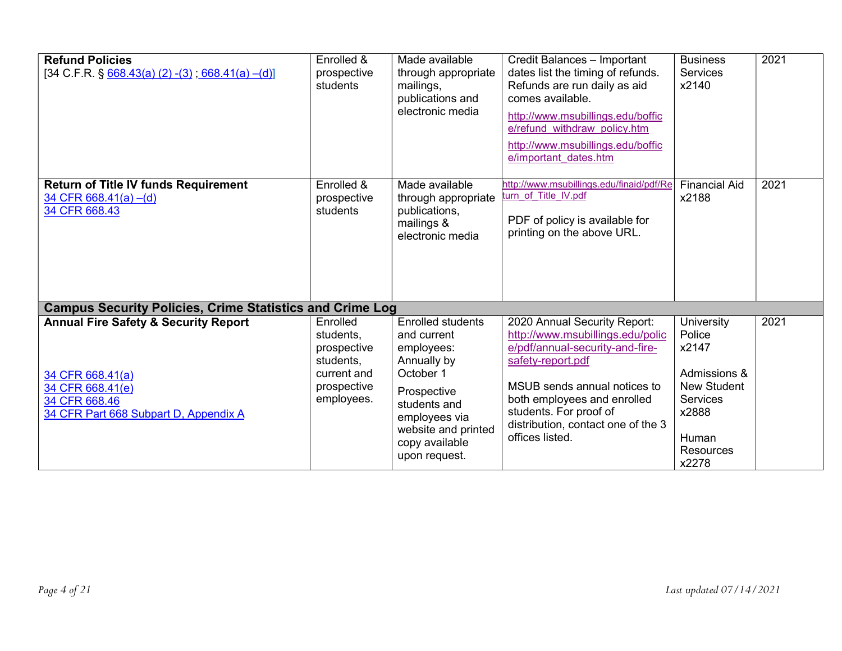| <b>Refund Policies</b><br>$[34 \text{ C.F.R. } \S 668.43(a) (2) - (3)$ ; 668.41(a) -(d)]                                                                                                                             | Enrolled &<br>prospective<br>students                                                         | Made available<br>through appropriate<br>mailings,<br>publications and<br>electronic media                                                                                                  | Credit Balances - Important<br>dates list the timing of refunds.<br>Refunds are run daily as aid<br>comes available.<br>http://www.msubillings.edu/boffic<br>e/refund withdraw policy.htm<br>http://www.msubillings.edu/boffic<br>e/important dates.htm                    | <b>Business</b><br>Services<br>x2140                                                                                    | 2021 |
|----------------------------------------------------------------------------------------------------------------------------------------------------------------------------------------------------------------------|-----------------------------------------------------------------------------------------------|---------------------------------------------------------------------------------------------------------------------------------------------------------------------------------------------|----------------------------------------------------------------------------------------------------------------------------------------------------------------------------------------------------------------------------------------------------------------------------|-------------------------------------------------------------------------------------------------------------------------|------|
| <b>Return of Title IV funds Requirement</b><br>34 CFR 668.41(a) $-(d)$<br>34 CFR 668.43                                                                                                                              | Enrolled &<br>prospective<br>students                                                         | Made available<br>through appropriate<br>publications,<br>mailings &<br>electronic media                                                                                                    | http://www.msubillings.edu/finaid/pdf/Re<br>turn of Title IV.pdf<br>PDF of policy is available for<br>printing on the above URL.                                                                                                                                           | <b>Financial Aid</b><br>x2188                                                                                           | 2021 |
| <b>Campus Security Policies, Crime Statistics and Crime Log</b><br><b>Annual Fire Safety &amp; Security Report</b><br>34 CFR 668.41(a)<br>34 CFR 668.41(e)<br>34 CFR 668.46<br>34 CFR Part 668 Subpart D, Appendix A | Enrolled<br>students,<br>prospective<br>students,<br>current and<br>prospective<br>employees. | <b>Enrolled students</b><br>and current<br>employees:<br>Annually by<br>October 1<br>Prospective<br>students and<br>employees via<br>website and printed<br>copy available<br>upon request. | 2020 Annual Security Report:<br>http://www.msubillings.edu/polic<br>e/pdf/annual-security-and-fire-<br>safety-report.pdf<br>MSUB sends annual notices to<br>both employees and enrolled<br>students. For proof of<br>distribution, contact one of the 3<br>offices listed. | University<br>Police<br>x2147<br>Admissions &<br><b>New Student</b><br>Services<br>x2888<br>Human<br>Resources<br>x2278 | 2021 |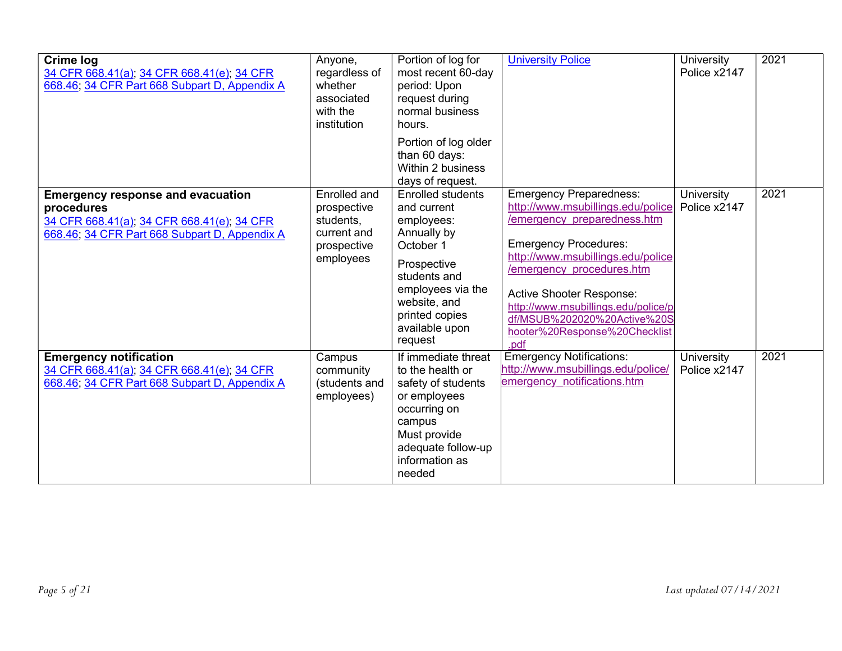| Crime log<br>34 CFR 668.41(a), 34 CFR 668.41(e), 34 CFR<br>668.46; 34 CFR Part 668 Subpart D, Appendix A                                              | Anyone,<br>regardless of<br>whether<br>associated<br>with the<br>institution        | Portion of log for<br>most recent 60-day<br>period: Upon<br>request during<br>normal business<br>hours.                                                                                              | <b>University Police</b>                                                                                                                                                                                                                                                                                                                        | University<br>Police x2147 | 2021 |
|-------------------------------------------------------------------------------------------------------------------------------------------------------|-------------------------------------------------------------------------------------|------------------------------------------------------------------------------------------------------------------------------------------------------------------------------------------------------|-------------------------------------------------------------------------------------------------------------------------------------------------------------------------------------------------------------------------------------------------------------------------------------------------------------------------------------------------|----------------------------|------|
|                                                                                                                                                       |                                                                                     | Portion of log older<br>than 60 days:<br>Within 2 business<br>days of request.                                                                                                                       |                                                                                                                                                                                                                                                                                                                                                 |                            |      |
| <b>Emergency response and evacuation</b><br>procedures<br>34 CFR 668.41(a); 34 CFR 668.41(e); 34 CFR<br>668.46; 34 CFR Part 668 Subpart D, Appendix A | Enrolled and<br>prospective<br>students,<br>current and<br>prospective<br>employees | <b>Enrolled students</b><br>and current<br>employees:<br>Annually by<br>October 1<br>Prospective<br>students and<br>employees via the<br>website, and<br>printed copies<br>available upon<br>request | <b>Emergency Preparedness:</b><br>http://www.msubillings.edu/police<br>/emergency preparedness.htm<br><b>Emergency Procedures:</b><br>http://www.msubillings.edu/police<br>/emergency procedures.htm<br>Active Shooter Response:<br>http://www.msubillings.edu/police/p<br>df/MSUB%202020%20Active%20S<br>hooter%20Response%20Checklist<br>.pdf | University<br>Police x2147 | 2021 |
| <b>Emergency notification</b><br>34 CFR 668.41(a); 34 CFR 668.41(e); 34 CFR<br>668.46; 34 CFR Part 668 Subpart D, Appendix A                          | Campus<br>community<br>(students and<br>employees)                                  | If immediate threat<br>to the health or<br>safety of students<br>or employees<br>occurring on<br>campus<br>Must provide<br>adequate follow-up<br>information as<br>needed                            | <b>Emergency Notifications:</b><br>http://www.msubillings.edu/police/<br>emergency notifications.htm                                                                                                                                                                                                                                            | University<br>Police x2147 | 2021 |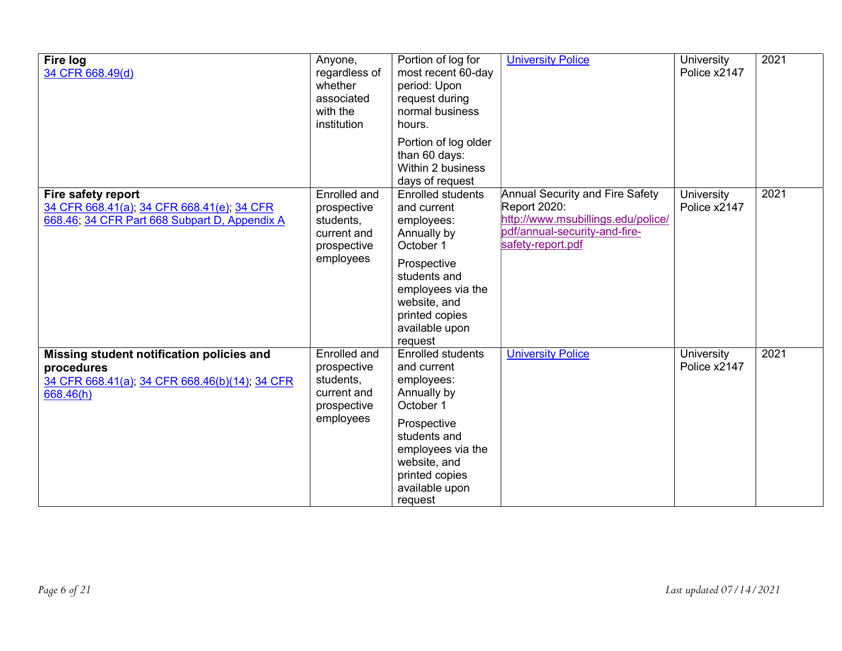| <b>Fire log</b><br>34 CFR 668.49(d)                                                                                                                                                                      | Anyone,<br>regardless of<br>whether<br>associated<br>with the<br>institution      | Portion of log for<br>most recent 60-day<br>period: Upon<br>request during<br>normal business<br>hours.                                                   | <b>University Police</b>   | University<br>Police x2147 | 2021 |
|----------------------------------------------------------------------------------------------------------------------------------------------------------------------------------------------------------|-----------------------------------------------------------------------------------|-----------------------------------------------------------------------------------------------------------------------------------------------------------|----------------------------|----------------------------|------|
|                                                                                                                                                                                                          |                                                                                   | Portion of log older<br>than 60 days:<br>Within 2 business<br>days of request                                                                             |                            |                            |      |
| Fire safety report<br>Enrolled and<br>34 CFR 668.41(a); 34 CFR 668.41(e); 34 CFR<br>prospective<br>668.46; 34 CFR Part 668 Subpart D, Appendix A<br>students,<br>current and<br>prospective<br>employees | <b>Enrolled students</b><br>and current<br>employees:<br>Annually by<br>October 1 | <b>Annual Security and Fire Safety</b><br><b>Report 2020:</b><br>http://www.msubillings.edu/police/<br>pdf/annual-security-and-fire-<br>safety-report.pdf | University<br>Police x2147 | 2021                       |      |
|                                                                                                                                                                                                          |                                                                                   | Prospective<br>students and<br>employees via the<br>website, and<br>printed copies<br>available upon<br>request                                           |                            |                            |      |
| Missing student notification policies and<br>procedures<br>34 CFR 668.41(a); 34 CFR 668.46(b)(14); 34 CFR<br>668.46(h)                                                                                   | Enrolled and<br>prospective<br>students,<br>current and<br>prospective            | <b>Enrolled students</b><br>and current<br>employees:<br>Annually by<br>October 1                                                                         | <b>University Police</b>   | University<br>Police x2147 | 2021 |
|                                                                                                                                                                                                          | employees                                                                         | Prospective<br>students and<br>employees via the<br>website, and<br>printed copies<br>available upon<br>request                                           |                            |                            |      |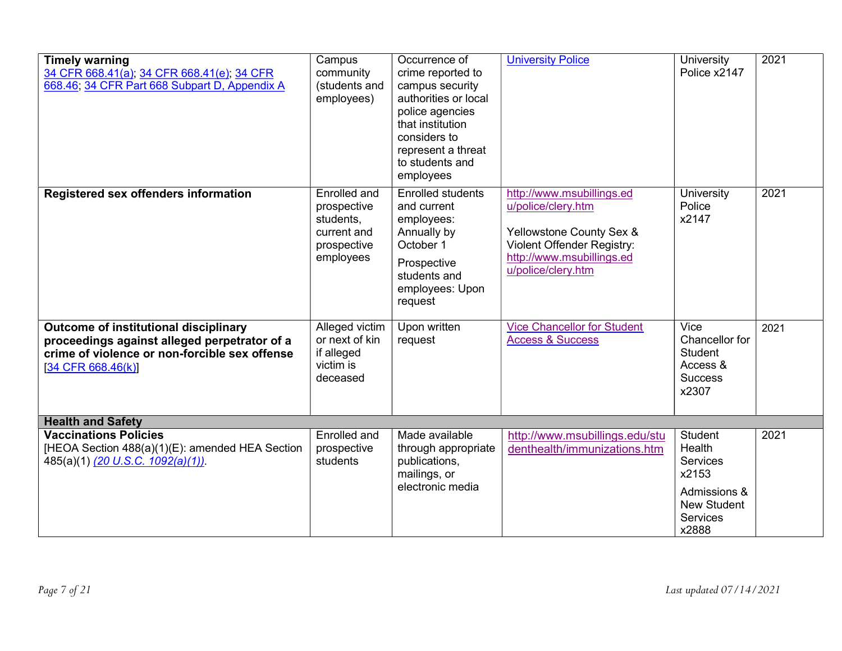| <b>Timely warning</b><br>34 CFR 668.41(a), 34 CFR 668.41(e), 34 CFR<br>668.46, 34 CFR Part 668 Subpart D, Appendix A                                           | Campus<br>community<br>(students and<br>employees)                                  | Occurrence of<br>crime reported to<br>campus security<br>authorities or local<br>police agencies<br>that institution<br>considers to<br>represent a threat<br>to students and<br>employees | <b>University Police</b>                                                                                                                                     | University<br>Police x2147                                                                                      | 2021 |
|----------------------------------------------------------------------------------------------------------------------------------------------------------------|-------------------------------------------------------------------------------------|--------------------------------------------------------------------------------------------------------------------------------------------------------------------------------------------|--------------------------------------------------------------------------------------------------------------------------------------------------------------|-----------------------------------------------------------------------------------------------------------------|------|
| Registered sex offenders information                                                                                                                           | Enrolled and<br>prospective<br>students,<br>current and<br>prospective<br>employees | <b>Enrolled students</b><br>and current<br>employees:<br>Annually by<br>October 1<br>Prospective<br>students and<br>employees: Upon<br>request                                             | http://www.msubillings.ed<br>u/police/clery.htm<br>Yellowstone County Sex &<br>Violent Offender Registry:<br>http://www.msubillings.ed<br>u/police/clery.htm | University<br>Police<br>x2147                                                                                   | 2021 |
| Outcome of institutional disciplinary<br>proceedings against alleged perpetrator of a<br>crime of violence or non-forcible sex offense<br>$[34$ CFR 668.46(k)] | Alleged victim<br>or next of kin<br>if alleged<br>victim is<br>deceased             | Upon written<br>request                                                                                                                                                                    | <b>Vice Chancellor for Student</b><br><b>Access &amp; Success</b>                                                                                            | Vice<br>Chancellor for<br><b>Student</b><br>Access &<br><b>Success</b><br>x2307                                 | 2021 |
| <b>Health and Safety</b>                                                                                                                                       |                                                                                     |                                                                                                                                                                                            |                                                                                                                                                              |                                                                                                                 |      |
| <b>Vaccinations Policies</b><br>[HEOA Section 488(a)(1)(E): amended HEA Section<br>485(a)(1) (20 U.S.C. 1092(a)(1)).                                           | Enrolled and<br>prospective<br>students                                             | Made available<br>through appropriate<br>publications,<br>mailings, or<br>electronic media                                                                                                 | http://www.msubillings.edu/stu<br>denthealth/immunizations.htm                                                                                               | <b>Student</b><br>Health<br><b>Services</b><br>x2153<br>Admissions &<br><b>New Student</b><br>Services<br>x2888 | 2021 |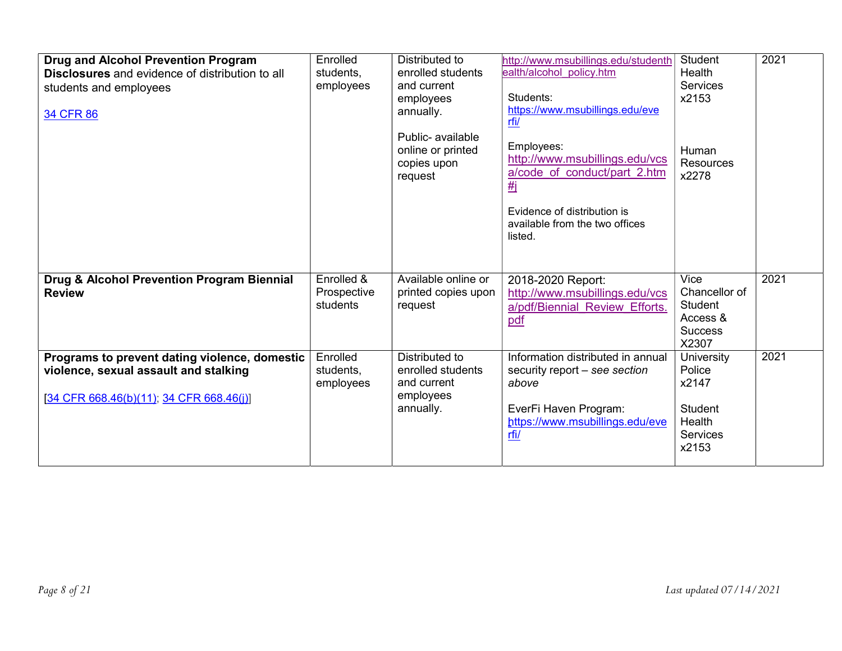| <b>Drug and Alcohol Prevention Program</b><br><b>Disclosures</b> and evidence of distribution to all<br>students and employees<br>34 CFR 86 | Enrolled<br>students,<br>employees    | Distributed to<br>enrolled students<br>and current<br>employees<br>annually.<br>Public- available<br>online or printed<br>copies upon<br>request | http://www.msubillings.edu/studenth<br>ealth/alcohol policy.htm<br>Students:<br>https://www.msubillings.edu/eve<br><u>rfi/</u><br>Employees:<br>http://www.msubillings.edu/vcs<br>a/code of conduct/part 2.htm<br><b>#i</b><br>Evidence of distribution is<br>available from the two offices<br>listed. | <b>Student</b><br>Health<br><b>Services</b><br>x2153<br>Human<br><b>Resources</b><br>x2278 | 2021 |
|---------------------------------------------------------------------------------------------------------------------------------------------|---------------------------------------|--------------------------------------------------------------------------------------------------------------------------------------------------|---------------------------------------------------------------------------------------------------------------------------------------------------------------------------------------------------------------------------------------------------------------------------------------------------------|--------------------------------------------------------------------------------------------|------|
| Drug & Alcohol Prevention Program Biennial<br><b>Review</b>                                                                                 | Enrolled &<br>Prospective<br>students | Available online or<br>printed copies upon<br>request                                                                                            | 2018-2020 Report:<br>http://www.msubillings.edu/vcs<br>a/pdf/Biennial Review Efforts.<br>pdf                                                                                                                                                                                                            | Vice<br>Chancellor of<br><b>Student</b><br>Access &<br><b>Success</b><br>X2307             | 2021 |
| Programs to prevent dating violence, domestic<br>violence, sexual assault and stalking<br>$[34$ CFR 668.46(b)(11); 34 CFR 668.46(i)]        | Enrolled<br>students,<br>employees    | Distributed to<br>enrolled students<br>and current<br>employees<br>annually.                                                                     | Information distributed in annual<br>security report - see section<br>above<br>EverFi Haven Program:<br>https://www.msubillings.edu/eve<br>rfi/                                                                                                                                                         | University<br>Police<br>x2147<br><b>Student</b><br>Health<br>Services<br>x2153             | 2021 |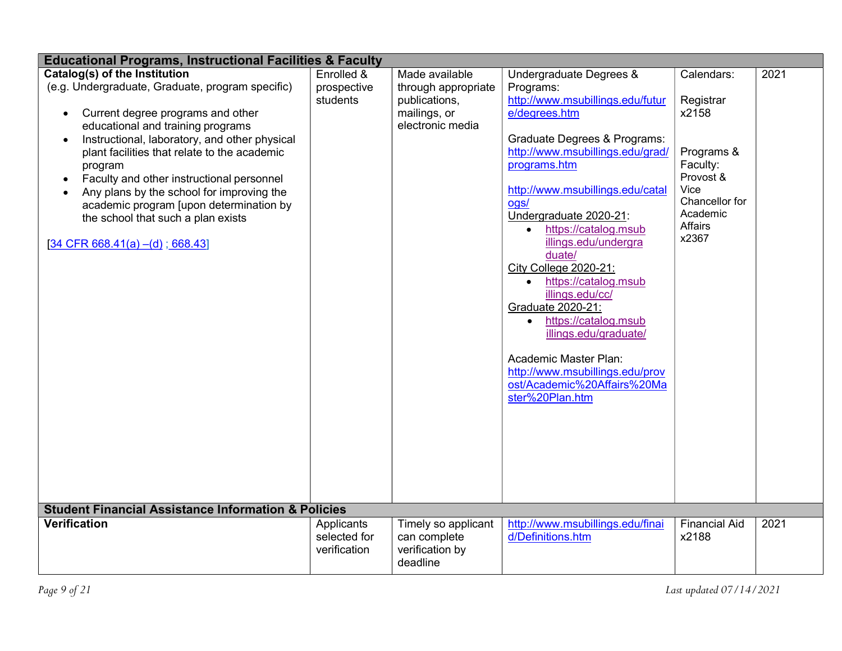| <b>Educational Programs, Instructional Facilities &amp; Faculty</b>                                                                                                                                                                                                                                                                                                                                                                                                                                                            |                                            |                                                                                            |                                                                                                                                                                                                                                                                                                                                                                                                                                                                                                                                                                                                              |                                                                                                                                   |      |  |
|--------------------------------------------------------------------------------------------------------------------------------------------------------------------------------------------------------------------------------------------------------------------------------------------------------------------------------------------------------------------------------------------------------------------------------------------------------------------------------------------------------------------------------|--------------------------------------------|--------------------------------------------------------------------------------------------|--------------------------------------------------------------------------------------------------------------------------------------------------------------------------------------------------------------------------------------------------------------------------------------------------------------------------------------------------------------------------------------------------------------------------------------------------------------------------------------------------------------------------------------------------------------------------------------------------------------|-----------------------------------------------------------------------------------------------------------------------------------|------|--|
| Catalog(s) of the Institution<br>(e.g. Undergraduate, Graduate, program specific)<br>Current degree programs and other<br>$\bullet$<br>educational and training programs<br>Instructional, laboratory, and other physical<br>$\bullet$<br>plant facilities that relate to the academic<br>program<br>Faculty and other instructional personnel<br>$\bullet$<br>Any plans by the school for improving the<br>academic program [upon determination by<br>the school that such a plan exists<br>$[34$ CFR 668.41(a) –(d); 668.43] | Enrolled &<br>prospective<br>students      | Made available<br>through appropriate<br>publications,<br>mailings, or<br>electronic media | Undergraduate Degrees &<br>Programs:<br>http://www.msubillings.edu/futur<br>e/degrees.htm<br>Graduate Degrees & Programs:<br>http://www.msubillings.edu/grad/<br>programs.htm<br>http://www.msubillings.edu/catal<br>ogs/<br>Undergraduate 2020-21:<br>https://catalog.msub<br>$\bullet$<br>illings.edu/undergra<br>duate/<br>City College 2020-21:<br>https://catalog.msub<br>$\bullet$<br>illings.edu/cc/<br>Graduate 2020-21:<br>https://catalog.msub<br>$\bullet$<br>illings.edu/graduate/<br>Academic Master Plan:<br>http://www.msubillings.edu/prov<br>ost/Academic%20Affairs%20Ma<br>ster%20Plan.htm | Calendars:<br>Registrar<br>x2158<br>Programs &<br>Faculty:<br>Provost &<br>Vice<br>Chancellor for<br>Academic<br>Affairs<br>x2367 | 2021 |  |
| <b>Student Financial Assistance Information &amp; Policies</b>                                                                                                                                                                                                                                                                                                                                                                                                                                                                 |                                            |                                                                                            |                                                                                                                                                                                                                                                                                                                                                                                                                                                                                                                                                                                                              |                                                                                                                                   |      |  |
| <b>Verification</b>                                                                                                                                                                                                                                                                                                                                                                                                                                                                                                            | Applicants<br>selected for<br>verification | Timely so applicant<br>can complete<br>verification by<br>deadline                         | http://www.msubillings.edu/finai<br>d/Definitions.htm                                                                                                                                                                                                                                                                                                                                                                                                                                                                                                                                                        | <b>Financial Aid</b><br>x2188                                                                                                     | 2021 |  |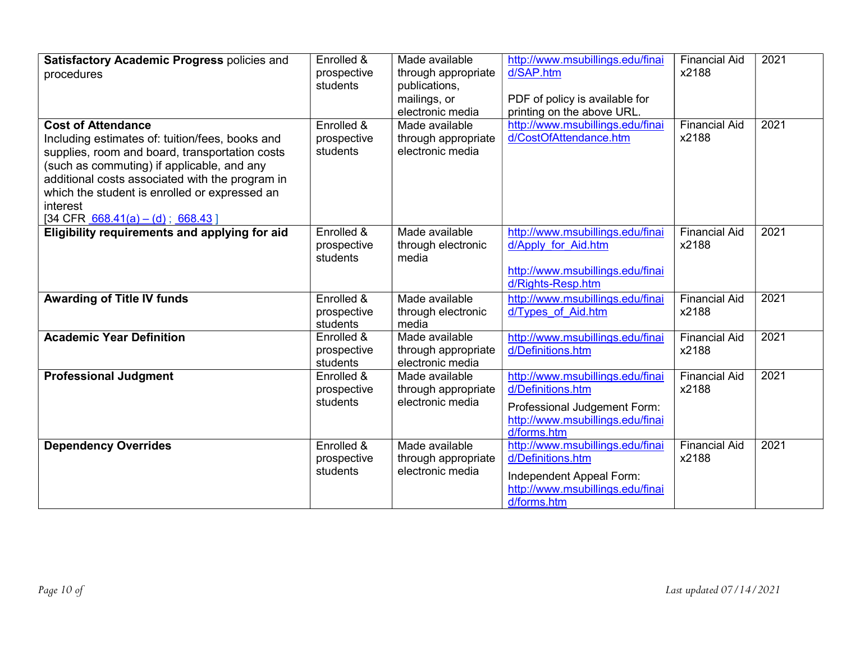| Satisfactory Academic Progress policies and<br>procedures<br><b>Cost of Attendance</b><br>Including estimates of: tuition/fees, books and<br>supplies, room and board, transportation costs<br>(such as commuting) if applicable, and any<br>additional costs associated with the program in<br>which the student is enrolled or expressed an<br>interest<br>$[34 \text{ CFR } \underline{668.41(a) - (d)}$ ; 668.43 | Enrolled &<br>prospective<br>students<br>Enrolled &<br>prospective<br>students | Made available<br>through appropriate<br>publications,<br>mailings, or<br>electronic media<br>Made available<br>through appropriate<br>electronic media | http://www.msubillings.edu/finai<br>d/SAP.htm<br>PDF of policy is available for<br>printing on the above URL.<br>http://www.msubillings.edu/finai<br>d/CostOfAttendance.htm | <b>Financial Aid</b><br>x2188<br><b>Financial Aid</b><br>x2188 | 2021<br>2021 |
|----------------------------------------------------------------------------------------------------------------------------------------------------------------------------------------------------------------------------------------------------------------------------------------------------------------------------------------------------------------------------------------------------------------------|--------------------------------------------------------------------------------|---------------------------------------------------------------------------------------------------------------------------------------------------------|-----------------------------------------------------------------------------------------------------------------------------------------------------------------------------|----------------------------------------------------------------|--------------|
| Eligibility requirements and applying for aid                                                                                                                                                                                                                                                                                                                                                                        | Enrolled &<br>prospective<br>students                                          | Made available<br>through electronic<br>media                                                                                                           | http://www.msubillings.edu/finai<br>d/Apply for Aid.htm<br>http://www.msubillings.edu/finai<br>d/Rights-Resp.htm                                                            | <b>Financial Aid</b><br>x2188                                  | 2021         |
| <b>Awarding of Title IV funds</b>                                                                                                                                                                                                                                                                                                                                                                                    | Enrolled &<br>prospective<br>students                                          | Made available<br>through electronic<br>media                                                                                                           | http://www.msubillings.edu/finai<br>d/Types of Aid.htm                                                                                                                      | <b>Financial Aid</b><br>x2188                                  | 2021         |
| <b>Academic Year Definition</b>                                                                                                                                                                                                                                                                                                                                                                                      | Enrolled &<br>prospective<br>students                                          | Made available<br>through appropriate<br>electronic media                                                                                               | http://www.msubillings.edu/finai<br>d/Definitions.htm                                                                                                                       | <b>Financial Aid</b><br>x2188                                  | 2021         |
| <b>Professional Judgment</b>                                                                                                                                                                                                                                                                                                                                                                                         | Enrolled &<br>prospective<br>students                                          | Made available<br>through appropriate<br>electronic media                                                                                               | http://www.msubillings.edu/finai<br>d/Definitions.htm<br>Professional Judgement Form:<br>http://www.msubillings.edu/finai<br>d/forms.htm                                    | <b>Financial Aid</b><br>x2188                                  | 2021         |
| <b>Dependency Overrides</b>                                                                                                                                                                                                                                                                                                                                                                                          | Enrolled &<br>prospective<br>students                                          | Made available<br>through appropriate<br>electronic media                                                                                               | http://www.msubillings.edu/finai<br>d/Definitions.htm<br>Independent Appeal Form:<br>http://www.msubillings.edu/finai<br>d/forms.htm                                        | <b>Financial Aid</b><br>x2188                                  | 2021         |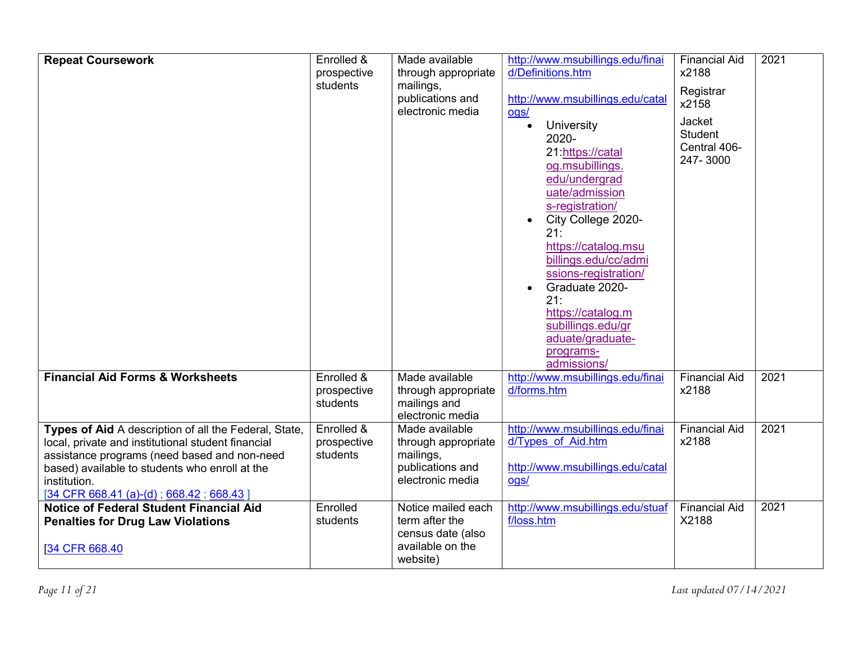| <b>Repeat Coursework</b>                                                                                                                                                                                                                                                  | Enrolled &<br>prospective<br>students | Made available<br>through appropriate<br>mailings,<br>publications and<br>electronic media | http://www.msubillings.edu/finai<br>d/Definitions.htm<br>http://www.msubillings.edu/catal<br>ogs/<br><b>University</b><br>$\bullet$<br>2020-<br>21:https://catal<br>og.msubillings.<br>edu/undergrad<br>uate/admission<br>s-registration/<br>City College 2020-<br>21:<br>https://catalog.msu<br>billings.edu/cc/admi<br>ssions-registration/<br>Graduate 2020-<br>21:<br>https://catalog.m<br>subillings.edu/gr<br>aduate/graduate-<br>programs- | <b>Financial Aid</b><br>x2188<br>Registrar<br>x2158<br>Jacket<br>Student<br>Central 406-<br>247-3000 | 2021 |
|---------------------------------------------------------------------------------------------------------------------------------------------------------------------------------------------------------------------------------------------------------------------------|---------------------------------------|--------------------------------------------------------------------------------------------|---------------------------------------------------------------------------------------------------------------------------------------------------------------------------------------------------------------------------------------------------------------------------------------------------------------------------------------------------------------------------------------------------------------------------------------------------|------------------------------------------------------------------------------------------------------|------|
| <b>Financial Aid Forms &amp; Worksheets</b>                                                                                                                                                                                                                               | Enrolled &<br>prospective<br>students | Made available<br>through appropriate<br>mailings and<br>electronic media                  | admissions/<br>http://www.msubillings.edu/finai<br>d/forms.htm                                                                                                                                                                                                                                                                                                                                                                                    | <b>Financial Aid</b><br>x2188                                                                        | 2021 |
| Types of Aid A description of all the Federal, State,<br>local, private and institutional student financial<br>assistance programs (need based and non-need<br>based) available to students who enroll at the<br>institution.<br>$[34$ CFR 668.41 (a)-(d); 668.42; 668.43 | Enrolled &<br>prospective<br>students | Made available<br>through appropriate<br>mailings,<br>publications and<br>electronic media | http://www.msubillings.edu/finai<br>d/Types of Aid.htm<br>http://www.msubillings.edu/catal<br>ogs/                                                                                                                                                                                                                                                                                                                                                | <b>Financial Aid</b><br>x2188                                                                        | 2021 |
| Notice of Federal Student Financial Aid<br><b>Penalties for Drug Law Violations</b><br>[34 CFR 668.40]                                                                                                                                                                    | Enrolled<br>students                  | Notice mailed each<br>term after the<br>census date (also<br>available on the<br>website)  | http://www.msubillings.edu/stuaf<br>f/loss.htm                                                                                                                                                                                                                                                                                                                                                                                                    | <b>Financial Aid</b><br>X2188                                                                        | 2021 |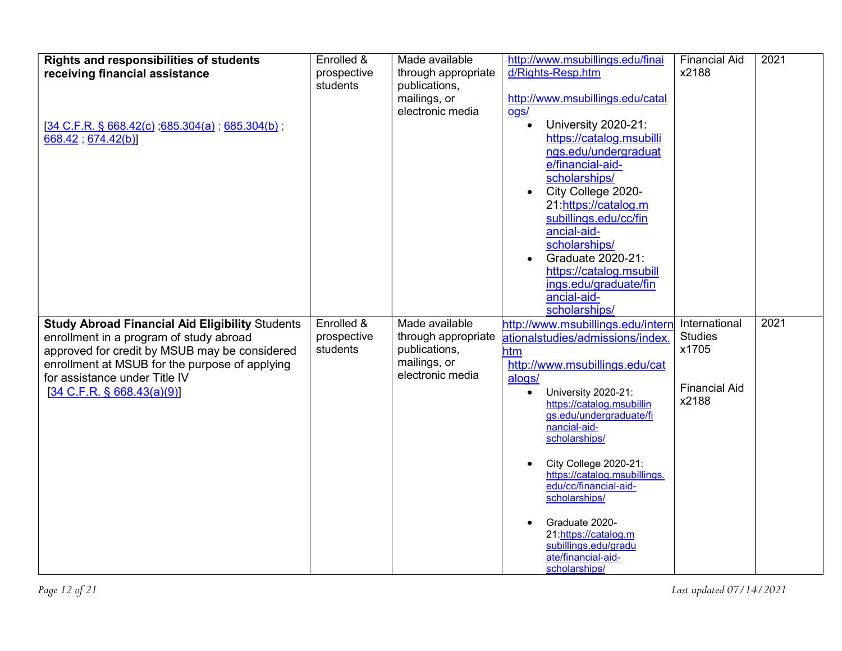| <b>Rights and responsibilities of students</b>                                                  | Enrolled &              | Made available                       | http://www.msubillings.edu/finai                      | <b>Financial Aid</b>    | 2021 |
|-------------------------------------------------------------------------------------------------|-------------------------|--------------------------------------|-------------------------------------------------------|-------------------------|------|
| receiving financial assistance                                                                  | prospective             | through appropriate                  | d/Rights-Resp.htm                                     | x2188                   |      |
|                                                                                                 | students                | publications,                        |                                                       |                         |      |
|                                                                                                 |                         | mailings, or<br>electronic media     | http://www.msubillings.edu/catal<br>ogs/              |                         |      |
| $[34 \text{ C.F.R. } $668.42(c)$ ; 685.304(a); 685.304(b);                                      |                         |                                      | University 2020-21:                                   |                         |      |
| 668.42; 674.42(b)]                                                                              |                         |                                      | https://catalog.msubilli                              |                         |      |
|                                                                                                 |                         |                                      | ngs.edu/undergraduat                                  |                         |      |
|                                                                                                 |                         |                                      | e/financial-aid-                                      |                         |      |
|                                                                                                 |                         |                                      | scholarships/                                         |                         |      |
|                                                                                                 |                         |                                      | City College 2020-<br>21:https://catalog.m            |                         |      |
|                                                                                                 |                         |                                      | subillings.edu/cc/fin                                 |                         |      |
|                                                                                                 |                         |                                      | ancial-aid-                                           |                         |      |
|                                                                                                 |                         |                                      | scholarships/                                         |                         |      |
|                                                                                                 |                         |                                      | Graduate 2020-21:                                     |                         |      |
|                                                                                                 |                         |                                      | https://catalog.msubill<br>ings.edu/graduate/fin      |                         |      |
|                                                                                                 |                         |                                      | ancial-aid-                                           |                         |      |
|                                                                                                 |                         |                                      | scholarships/                                         |                         |      |
| <b>Study Abroad Financial Aid Eligibility Students</b>                                          | Enrolled &              | Made available                       | http://www.msubillings.edu/intern                     | International           | 2021 |
| enrollment in a program of study abroad                                                         | prospective<br>students | through appropriate<br>publications, | ationalstudies/admissions/index.                      | <b>Studies</b><br>x1705 |      |
| approved for credit by MSUB may be considered<br>enrollment at MSUB for the purpose of applying |                         | mailings, or                         | htm<br>http://www.msubillings.edu/cat                 |                         |      |
| for assistance under Title IV                                                                   |                         | electronic media                     | alogs/                                                |                         |      |
| $[34 \text{ C.F.R. } \S 668.43(a)(9)]$                                                          |                         |                                      | University 2020-21:<br>$\bullet$                      | <b>Financial Aid</b>    |      |
|                                                                                                 |                         |                                      | https://catalog.msubillin                             | x2188                   |      |
|                                                                                                 |                         |                                      | gs.edu/undergraduate/fi<br>nancial-aid-               |                         |      |
|                                                                                                 |                         |                                      | scholarships/                                         |                         |      |
|                                                                                                 |                         |                                      |                                                       |                         |      |
|                                                                                                 |                         |                                      | City College 2020-21:<br>https://catalog.msubillings. |                         |      |
|                                                                                                 |                         |                                      | edu/cc/financial-aid-                                 |                         |      |
|                                                                                                 |                         |                                      | scholarships/                                         |                         |      |
|                                                                                                 |                         |                                      |                                                       |                         |      |
|                                                                                                 |                         |                                      |                                                       |                         |      |
|                                                                                                 |                         |                                      | Graduate 2020-<br>21:https://catalog.m                |                         |      |
|                                                                                                 |                         |                                      | subillings.edu/gradu<br>ate/financial-aid-            |                         |      |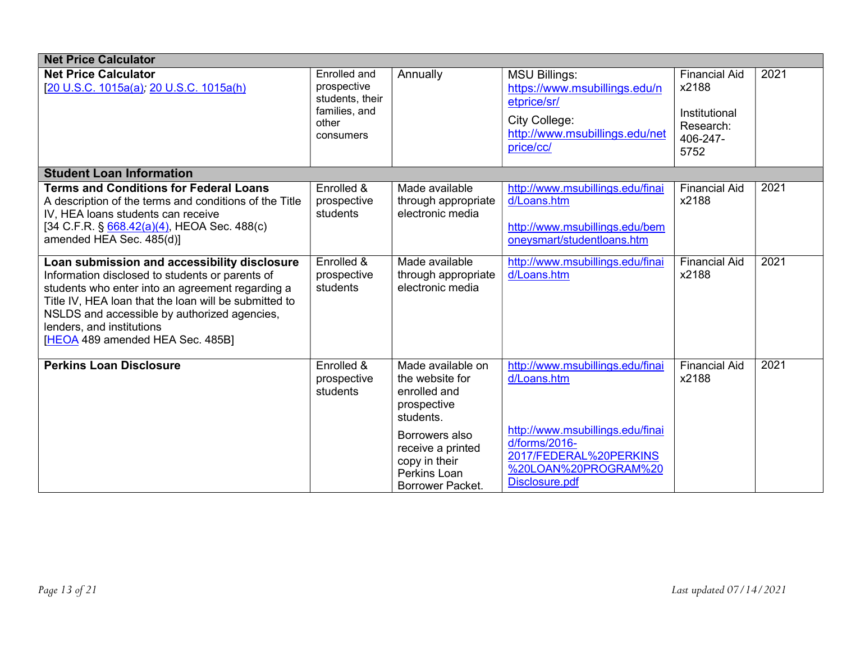| <b>Net Price Calculator</b>                                                                                                                                                                                                                                                                                                   |                                                                                       |                                                                                          |                                                                                                                                      |                                                                                 |                   |  |
|-------------------------------------------------------------------------------------------------------------------------------------------------------------------------------------------------------------------------------------------------------------------------------------------------------------------------------|---------------------------------------------------------------------------------------|------------------------------------------------------------------------------------------|--------------------------------------------------------------------------------------------------------------------------------------|---------------------------------------------------------------------------------|-------------------|--|
| <b>Net Price Calculator</b><br>[20 U.S.C. 1015a(a), 20 U.S.C. 1015a(h)                                                                                                                                                                                                                                                        | Enrolled and<br>prospective<br>students, their<br>families, and<br>other<br>consumers | Annually                                                                                 | <b>MSU Billings:</b><br>https://www.msubillings.edu/n<br>etprice/sr/<br>City College:<br>http://www.msubillings.edu/net<br>price/cc/ | <b>Financial Aid</b><br>x2188<br>Institutional<br>Research:<br>406-247-<br>5752 | 2021              |  |
| <b>Student Loan Information</b>                                                                                                                                                                                                                                                                                               |                                                                                       |                                                                                          |                                                                                                                                      |                                                                                 |                   |  |
| <b>Terms and Conditions for Federal Loans</b><br>A description of the terms and conditions of the Title<br>IV, HEA loans students can receive<br>[34 C.F.R. § 668.42(a)(4), HEOA Sec. 488(c)<br>amended HEA Sec. 485(d)]                                                                                                      | Enrolled &<br>prospective<br>students                                                 | Made available<br>through appropriate<br>electronic media                                | http://www.msubillings.edu/finai<br>d/Loans.htm<br>http://www.msubillings.edu/bem<br>oneysmart/studentloans.htm                      | <b>Financial Aid</b><br>x2188                                                   | 2021              |  |
| Loan submission and accessibility disclosure<br>Information disclosed to students or parents of<br>students who enter into an agreement regarding a<br>Title IV, HEA loan that the loan will be submitted to<br>NSLDS and accessible by authorized agencies,<br>lenders, and institutions<br>[HEOA 489 amended HEA Sec. 485B] | Enrolled &<br>prospective<br>students                                                 | Made available<br>through appropriate<br>electronic media                                | http://www.msubillings.edu/finai<br>d/Loans.htm                                                                                      | <b>Financial Aid</b><br>x2188                                                   | 2021              |  |
| <b>Perkins Loan Disclosure</b>                                                                                                                                                                                                                                                                                                | Enrolled &<br>prospective<br>students                                                 | Made available on<br>the website for<br>enrolled and<br>prospective<br>students.         | http://www.msubillings.edu/finai<br>d/Loans.htm                                                                                      | <b>Financial Aid</b><br>x2188                                                   | $\overline{20}21$ |  |
|                                                                                                                                                                                                                                                                                                                               |                                                                                       | Borrowers also<br>receive a printed<br>copy in their<br>Perkins Loan<br>Borrower Packet. | http://www.msubillings.edu/finai<br>d/forms/2016-<br>2017/FEDERAL%20PERKINS<br>%20LOAN%20PROGRAM%20<br>Disclosure.pdf                |                                                                                 |                   |  |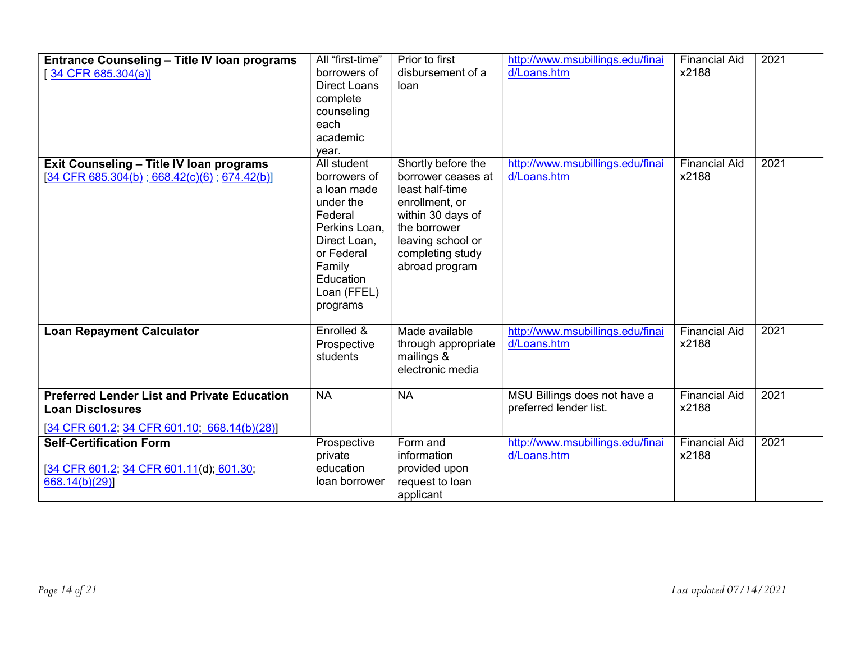| <b>Entrance Counseling - Title IV loan programs</b><br>$34$ CFR 685.304(a)]                                                   | All "first-time"<br>borrowers of<br><b>Direct Loans</b><br>complete<br>counseling<br>each<br>academic<br>vear.                                                      | Prior to first<br>disbursement of a<br>loan                                                                                                                                   | http://www.msubillings.edu/finai<br>d/Loans.htm        | <b>Financial Aid</b><br>x2188 | 2021 |
|-------------------------------------------------------------------------------------------------------------------------------|---------------------------------------------------------------------------------------------------------------------------------------------------------------------|-------------------------------------------------------------------------------------------------------------------------------------------------------------------------------|--------------------------------------------------------|-------------------------------|------|
| Exit Counseling - Title IV Ioan programs<br>[34 CFR 685.304(b); 668.42(c)(6); 674.42(b)]                                      | All student<br>borrowers of<br>a loan made<br>under the<br>Federal<br>Perkins Loan,<br>Direct Loan,<br>or Federal<br>Family<br>Education<br>Loan (FFEL)<br>programs | Shortly before the<br>borrower ceases at<br>least half-time<br>enrollment, or<br>within 30 days of<br>the borrower<br>leaving school or<br>completing study<br>abroad program | http://www.msubillings.edu/finai<br>d/Loans.htm        | <b>Financial Aid</b><br>x2188 | 2021 |
| <b>Loan Repayment Calculator</b>                                                                                              | Enrolled &<br>Prospective<br>students                                                                                                                               | Made available<br>through appropriate<br>mailings &<br>electronic media                                                                                                       | http://www.msubillings.edu/finai<br>d/Loans.htm        | <b>Financial Aid</b><br>x2188 | 2021 |
| <b>Preferred Lender List and Private Education</b><br><b>Loan Disclosures</b><br>[34 CFR 601.2, 34 CFR 601.10, 668.14(b)(28)] | <b>NA</b>                                                                                                                                                           | <b>NA</b>                                                                                                                                                                     | MSU Billings does not have a<br>preferred lender list. | <b>Financial Aid</b><br>x2188 | 2021 |
| <b>Self-Certification Form</b><br>[34 CFR 601.2, 34 CFR 601.11(d); 601.30;<br>668.14(b)(29)                                   | Prospective<br>private<br>education<br>loan borrower                                                                                                                | Form and<br>information<br>provided upon<br>request to loan<br>applicant                                                                                                      | http://www.msubillings.edu/finai<br>d/Loans.htm        | <b>Financial Aid</b><br>x2188 | 2021 |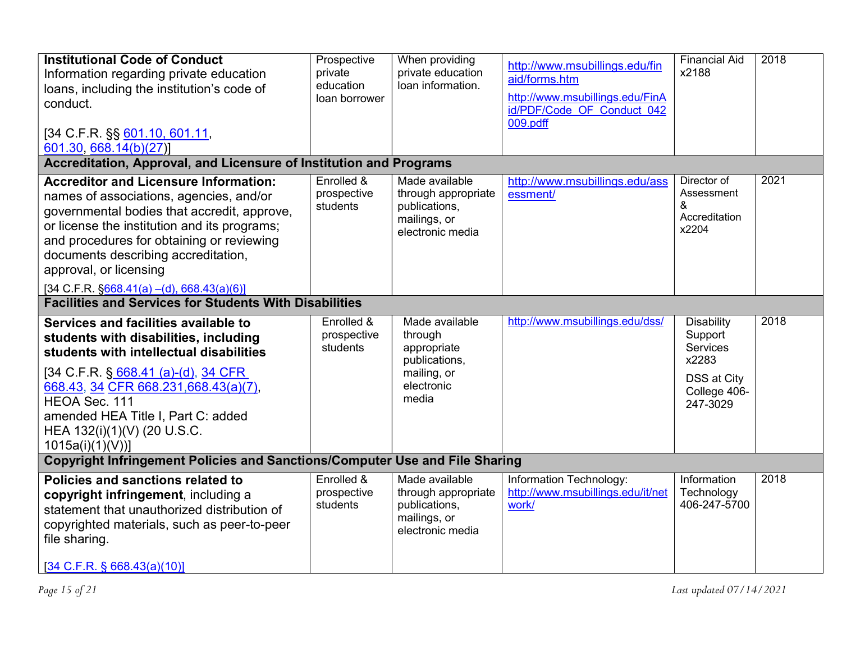| <b>Institutional Code of Conduct</b><br>Information regarding private education<br>loans, including the institution's code of<br>conduct.<br>[34 C.F.R. §§ 601.10, 601.11,<br>601.30, 668.14(b)(27)]                                                                                                                                                                    | Prospective<br>private<br>education<br>loan borrower | When providing<br>private education<br>loan information.                                        | http://www.msubillings.edu/fin<br>aid/forms.htm<br>http://www.msubillings.edu/FinA<br>id/PDF/Code OF Conduct 042<br>009.pdff | <b>Financial Aid</b><br>x2188                                                                | 2018 |
|-------------------------------------------------------------------------------------------------------------------------------------------------------------------------------------------------------------------------------------------------------------------------------------------------------------------------------------------------------------------------|------------------------------------------------------|-------------------------------------------------------------------------------------------------|------------------------------------------------------------------------------------------------------------------------------|----------------------------------------------------------------------------------------------|------|
| Accreditation, Approval, and Licensure of Institution and Programs                                                                                                                                                                                                                                                                                                      |                                                      |                                                                                                 |                                                                                                                              |                                                                                              |      |
| <b>Accreditor and Licensure Information:</b><br>names of associations, agencies, and/or<br>governmental bodies that accredit, approve,<br>or license the institution and its programs;<br>and procedures for obtaining or reviewing<br>documents describing accreditation,<br>approval, or licensing<br>$[34 \text{ C.F.R. } \frac{6668.41(a) - (d), 668.43(a)(6)]}{2}$ | Enrolled &<br>prospective<br>students                | Made available<br>through appropriate<br>publications,<br>mailings, or<br>electronic media      | http://www.msubillings.edu/ass<br>essment/                                                                                   | Director of<br>Assessment<br>&<br>Accreditation<br>x2204                                     | 2021 |
| <b>Facilities and Services for Students With Disabilities</b>                                                                                                                                                                                                                                                                                                           |                                                      |                                                                                                 |                                                                                                                              |                                                                                              |      |
| Services and facilities available to<br>students with disabilities, including<br>students with intellectual disabilities<br>[34 C.F.R. § 668.41 (a)-(d), 34 CFR<br>668.43, 34 CFR 668.231,668.43(a)(7),<br>HEOA Sec. 111<br>amended HEA Title I, Part C: added<br>HEA 132(i)(1)(V) (20 U.S.C.<br>$1015a(i)(1)(V))$ ]                                                    | Enrolled &<br>prospective<br>students                | Made available<br>through<br>appropriate<br>publications,<br>mailing, or<br>electronic<br>media | http://www.msubillings.edu/dss/                                                                                              | <b>Disability</b><br>Support<br>Services<br>x2283<br>DSS at City<br>College 406-<br>247-3029 | 2018 |
| <b>Copyright Infringement Policies and Sanctions/Computer Use and File Sharing</b>                                                                                                                                                                                                                                                                                      |                                                      |                                                                                                 |                                                                                                                              |                                                                                              |      |
| Policies and sanctions related to<br>copyright infringement, including a<br>statement that unauthorized distribution of<br>copyrighted materials, such as peer-to-peer<br>file sharing.<br>$[34 \text{ C.F.R. }$ § 668.43(a)(10)]                                                                                                                                       | Enrolled &<br>prospective<br>students                | Made available<br>through appropriate<br>publications,<br>mailings, or<br>electronic media      | Information Technology:<br>http://www.msubillings.edu/it/net<br>work/                                                        | Information<br>Technology<br>406-247-5700                                                    | 2018 |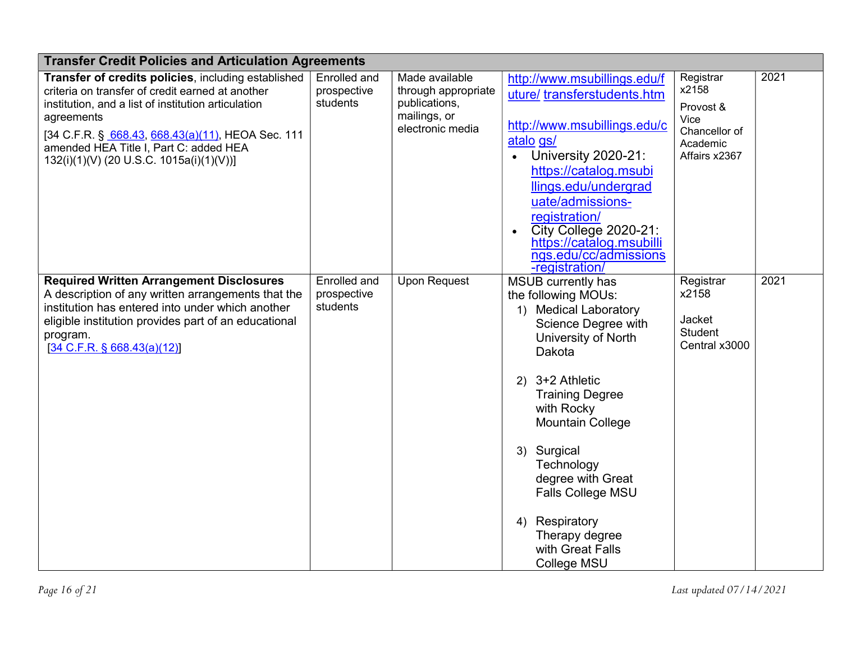| <b>Transfer Credit Policies and Articulation Agreements</b>                                                                                                                                                                                                                                                             |                                         |                                                                                            |                                                                                                                                                                                                                                                                                                                                                                                |                                                                                       |      |  |  |
|-------------------------------------------------------------------------------------------------------------------------------------------------------------------------------------------------------------------------------------------------------------------------------------------------------------------------|-----------------------------------------|--------------------------------------------------------------------------------------------|--------------------------------------------------------------------------------------------------------------------------------------------------------------------------------------------------------------------------------------------------------------------------------------------------------------------------------------------------------------------------------|---------------------------------------------------------------------------------------|------|--|--|
| Transfer of credits policies, including established<br>criteria on transfer of credit earned at another<br>institution, and a list of institution articulation<br>agreements<br>[34 C.F.R. § 668.43, 668.43(a)(11), HEOA Sec. 111<br>amended HEA Title I, Part C: added HEA<br>132(i)(1)(V) (20 U.S.C. 1015a(i)(1)(V))] | Enrolled and<br>prospective<br>students | Made available<br>through appropriate<br>publications,<br>mailings, or<br>electronic media | http://www.msubillings.edu/f<br>uture/transferstudents.htm<br>http://www.msubillings.edu/c<br>atalo gs/<br>University 2020-21:<br>https://catalog.msubi<br>llings.edu/undergrad<br>uate/admissions-<br>registration/<br><b>City College 2020-21:</b><br>https://catalog.msubilli<br>ngs.edu/cc/admissions<br>-registration/                                                    | Registrar<br>x2158<br>Provost &<br>Vice<br>Chancellor of<br>Academic<br>Affairs x2367 | 2021 |  |  |
| <b>Required Written Arrangement Disclosures</b><br>A description of any written arrangements that the<br>institution has entered into under which another<br>eligible institution provides part of an educational<br>program.<br>[34 C.F.R. § 668.43(a)(12)]                                                            | Enrolled and<br>prospective<br>students | <b>Upon Request</b>                                                                        | MSUB currently has<br>the following MOUs:<br>1) Medical Laboratory<br>Science Degree with<br>University of North<br>Dakota<br>3+2 Athletic<br>2)<br><b>Training Degree</b><br>with Rocky<br><b>Mountain College</b><br>Surgical<br>3)<br>Technology<br>degree with Great<br><b>Falls College MSU</b><br>Respiratory<br>4)<br>Therapy degree<br>with Great Falls<br>College MSU | Registrar<br>x2158<br>Jacket<br><b>Student</b><br>Central x3000                       | 2021 |  |  |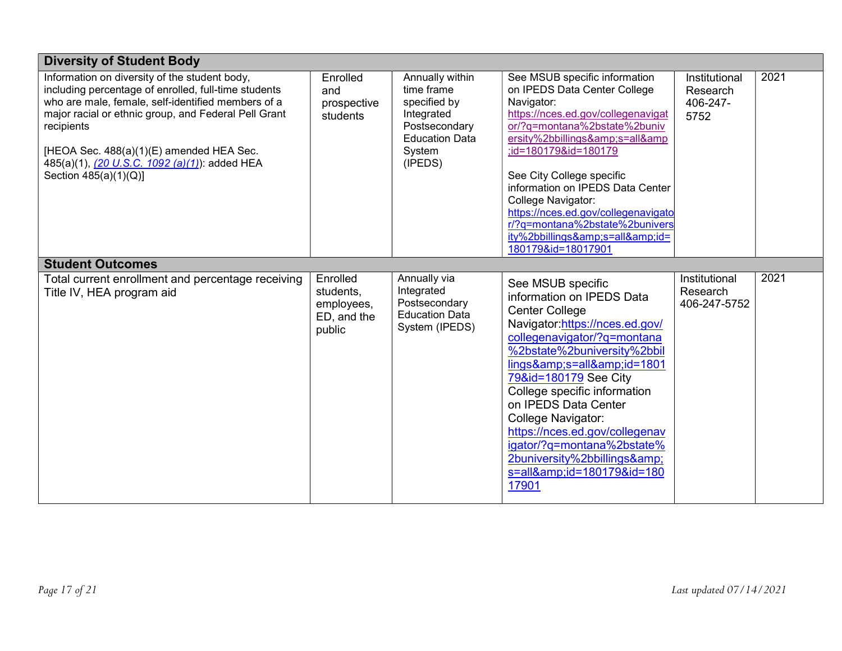| <b>Diversity of Student Body</b>                                                                                                                                                                                                                                                                                                                        |                                                              |                                                                                                                            |                                                                                                                                                                                                                                                                                                                                                                                                                                             |                                               |      |
|---------------------------------------------------------------------------------------------------------------------------------------------------------------------------------------------------------------------------------------------------------------------------------------------------------------------------------------------------------|--------------------------------------------------------------|----------------------------------------------------------------------------------------------------------------------------|---------------------------------------------------------------------------------------------------------------------------------------------------------------------------------------------------------------------------------------------------------------------------------------------------------------------------------------------------------------------------------------------------------------------------------------------|-----------------------------------------------|------|
| Information on diversity of the student body,<br>including percentage of enrolled, full-time students<br>who are male, female, self-identified members of a<br>major racial or ethnic group, and Federal Pell Grant<br>recipients<br>[HEOA Sec. 488(a)(1)(E) amended HEA Sec.<br>485(a)(1), (20 U.S.C. 1092 (a)(1)): added HEA<br>Section 485(a)(1)(Q)] | Enrolled<br>and<br>prospective<br>students                   | Annually within<br>time frame<br>specified by<br>Integrated<br>Postsecondary<br><b>Education Data</b><br>System<br>(IPEDS) | See MSUB specific information<br>on IPEDS Data Center College<br>Navigator:<br>https://nces.ed.gov/collegenavigat<br>or/?q=montana%2bstate%2buniv<br>ersity%2bbillings&s=all&<br>;id=180179&id=180179<br>See City College specific<br>information on IPEDS Data Center<br>College Navigator:<br>https://nces.ed.gov/collegenavigato<br>r/?q=montana%2bstate%2bunivers<br>ity%2bbillings&s=all&id=<br>180179&id=18017901                     | Institutional<br>Research<br>406-247-<br>5752 | 2021 |
| <b>Student Outcomes</b>                                                                                                                                                                                                                                                                                                                                 |                                                              |                                                                                                                            |                                                                                                                                                                                                                                                                                                                                                                                                                                             |                                               |      |
| Total current enrollment and percentage receiving<br>Title IV, HEA program aid                                                                                                                                                                                                                                                                          | Enrolled<br>students,<br>employees,<br>ED, and the<br>public | Annually via<br>Integrated<br>Postsecondary<br><b>Education Data</b><br>System (IPEDS)                                     | See MSUB specific<br>information on IPEDS Data<br><b>Center College</b><br>Navigator:https://nces.ed.gov/<br>collegenavigator/?q=montana<br>%2bstate%2buniversity%2bbil<br>lings&s=all&id=1801<br>79&id=180179 See City<br>College specific information<br>on IPEDS Data Center<br><b>College Navigator:</b><br>https://nces.ed.gov/collegenav<br>igator/?q=montana%2bstate%<br>2buniversity%2bbillings&<br>s=all&id=180179&id=180<br>17901 | Institutional<br>Research<br>406-247-5752     | 2021 |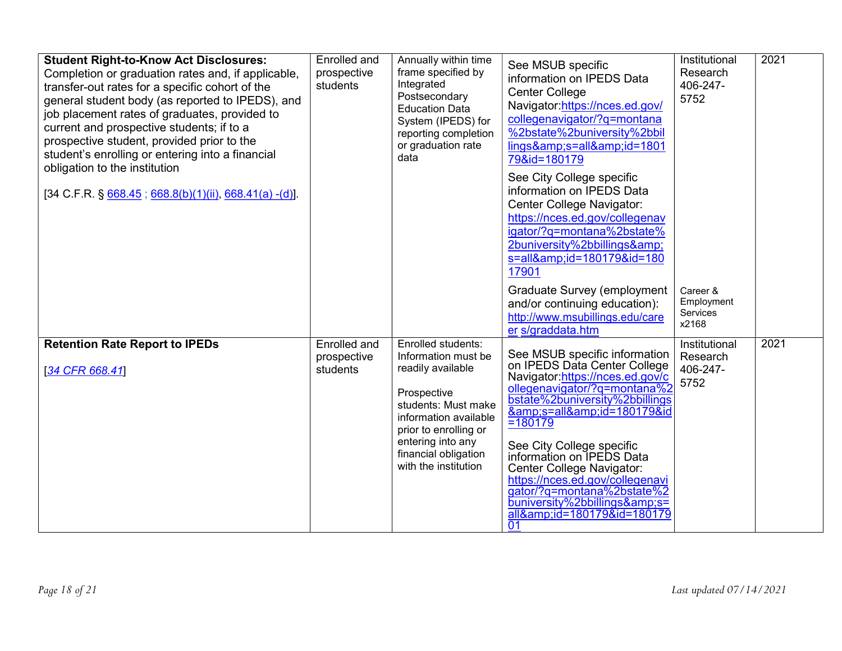| <b>Student Right-to-Know Act Disclosures:</b><br>Completion or graduation rates and, if applicable,<br>transfer-out rates for a specific cohort of the<br>general student body (as reported to IPEDS), and<br>job placement rates of graduates, provided to<br>current and prospective students; if to a<br>prospective student, provided prior to the<br>student's enrolling or entering into a financial<br>obligation to the institution<br>$[34 \text{ C.F.R. } \frac{668.45}{668.8(b)(1)(ii)}, \frac{668.41(a) - (d)}{b}].$ | Enrolled and<br>prospective<br>students        | Annually within time<br>frame specified by<br>Integrated<br>Postsecondary<br><b>Education Data</b><br>System (IPEDS) for<br>reporting completion<br>or graduation rate<br>data                                              | See MSUB specific<br>information on IPEDS Data<br><b>Center College</b><br>Navigator:https://nces.ed.gov/<br>collegenavigator/?q=montana<br>%2bstate%2buniversity%2bbil<br>lings&s=all&id=1801<br>79&id=180179<br>See City College specific<br>information on IPEDS Data<br>Center College Navigator:<br>https://nces.ed.gov/collegenav<br>igator/?q=montana%2bstate%<br>2buniversity%2bbillings&<br>s=all&id=180179&id=180<br>17901<br><b>Graduate Survey (employment</b><br>and/or continuing education):<br>http://www.msubillings.edu/care | Institutional<br>Research<br>406-247-<br>5752<br>Career &<br>Employment<br>Services<br>x2168 | 2021 |
|----------------------------------------------------------------------------------------------------------------------------------------------------------------------------------------------------------------------------------------------------------------------------------------------------------------------------------------------------------------------------------------------------------------------------------------------------------------------------------------------------------------------------------|------------------------------------------------|-----------------------------------------------------------------------------------------------------------------------------------------------------------------------------------------------------------------------------|------------------------------------------------------------------------------------------------------------------------------------------------------------------------------------------------------------------------------------------------------------------------------------------------------------------------------------------------------------------------------------------------------------------------------------------------------------------------------------------------------------------------------------------------|----------------------------------------------------------------------------------------------|------|
| <b>Retention Rate Report to IPEDs</b><br>[34 CFR 668.41]                                                                                                                                                                                                                                                                                                                                                                                                                                                                         | <b>Enrolled and</b><br>prospective<br>students | Enrolled students:<br>Information must be<br>readily available<br>Prospective<br>students: Must make<br>information available<br>prior to enrolling or<br>entering into any<br>financial obligation<br>with the institution | er s/graddata.htm<br>See MSUB specific information<br>on IPEDS Data Center College<br>Navigator:https://nces.ed.gov/c<br>ollegenavigator/?g=montana%2<br>bstate%2buniversity%2bbillings<br><u>&amp;s=all&amp;id=180179&amp;id</u><br>=180179<br>See City College specific<br>information on IPEDS Data<br>Center College Navigator:<br>https://nces.ed.gov/collegenavi<br>gator/?g=montana%2bstate%2<br>buniversity%2bbillings&s=<br>all&id=180179&id=180179<br>$\overline{01}$                                                                | Institutional<br>Research<br>406-247-<br>5752                                                | 2021 |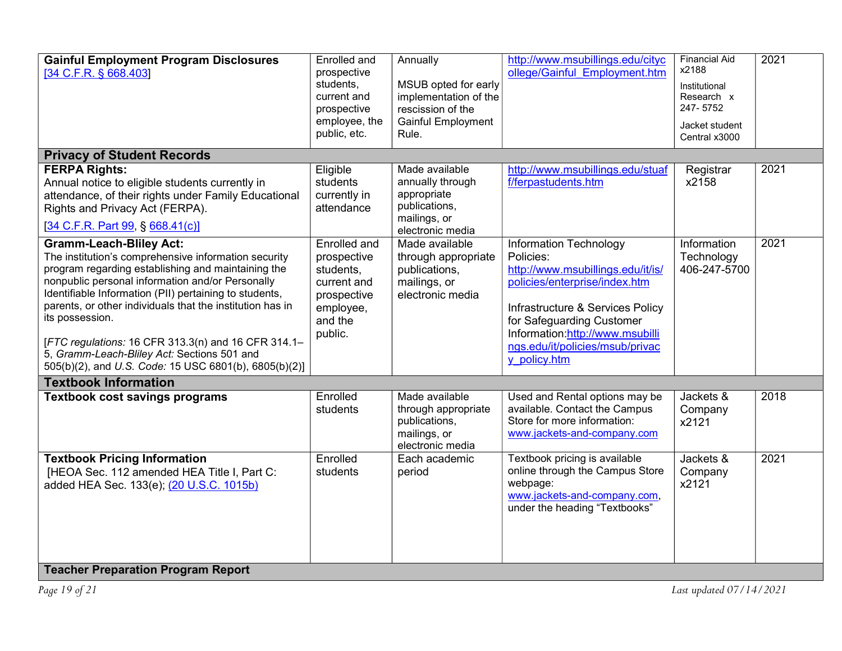| <b>Gainful Employment Program Disclosures</b><br>[34 C.F.R. § 668.403]                                                                                                                                                                                                                                                                                                                                                                                                                                    | Enrolled and<br>prospective<br>students,<br>current and<br>prospective<br>employee, the<br>public, etc.          | Annually<br>MSUB opted for early<br>implementation of the<br>rescission of the<br>Gainful Employment<br>Rule. | http://www.msubillings.edu/cityc<br>ollege/Gainful Employment.htm                                                                                                                                                                                                       | <b>Financial Aid</b><br>x2188<br>Institutional<br>Research x<br>247-5752<br>Jacket student<br>Central x3000 | 2021 |  |  |  |
|-----------------------------------------------------------------------------------------------------------------------------------------------------------------------------------------------------------------------------------------------------------------------------------------------------------------------------------------------------------------------------------------------------------------------------------------------------------------------------------------------------------|------------------------------------------------------------------------------------------------------------------|---------------------------------------------------------------------------------------------------------------|-------------------------------------------------------------------------------------------------------------------------------------------------------------------------------------------------------------------------------------------------------------------------|-------------------------------------------------------------------------------------------------------------|------|--|--|--|
| <b>Privacy of Student Records</b>                                                                                                                                                                                                                                                                                                                                                                                                                                                                         |                                                                                                                  |                                                                                                               |                                                                                                                                                                                                                                                                         |                                                                                                             |      |  |  |  |
| <b>FERPA Rights:</b><br>Annual notice to eligible students currently in<br>attendance, of their rights under Family Educational<br>Rights and Privacy Act (FERPA).<br>[34 C.F.R. Part 99, § 668.41(c)]                                                                                                                                                                                                                                                                                                    | Eligible<br>students<br>currently in<br>attendance                                                               | Made available<br>annually through<br>appropriate<br>publications,<br>mailings, or<br>electronic media        | http://www.msubillings.edu/stuaf<br>f/ferpastudents.htm                                                                                                                                                                                                                 | Registrar<br>x2158                                                                                          | 2021 |  |  |  |
| <b>Gramm-Leach-Bliley Act:</b><br>The institution's comprehensive information security<br>program regarding establishing and maintaining the<br>nonpublic personal information and/or Personally<br>Identifiable Information (PII) pertaining to students,<br>parents, or other individuals that the institution has in<br>its possession.<br>[FTC regulations: 16 CFR 313.3(n) and 16 CFR 314.1-<br>5, Gramm-Leach-Bliley Act: Sections 501 and<br>505(b)(2), and U.S. Code: 15 USC 6801(b), 6805(b)(2)] | <b>Enrolled and</b><br>prospective<br>students,<br>current and<br>prospective<br>employee,<br>and the<br>public. | Made available<br>through appropriate<br>publications,<br>mailings, or<br>electronic media                    | <b>Information Technology</b><br>Policies:<br>http://www.msubillings.edu/it/is/<br>policies/enterprise/index.htm<br>Infrastructure & Services Policy<br>for Safeguarding Customer<br>Information:http://www.msubilli<br>ngs.edu/it/policies/msub/privac<br>y policy.htm | Information<br>Technology<br>406-247-5700                                                                   | 2021 |  |  |  |
| <b>Textbook Information</b>                                                                                                                                                                                                                                                                                                                                                                                                                                                                               |                                                                                                                  |                                                                                                               |                                                                                                                                                                                                                                                                         |                                                                                                             |      |  |  |  |
| <b>Textbook cost savings programs</b>                                                                                                                                                                                                                                                                                                                                                                                                                                                                     | Enrolled<br>students                                                                                             | Made available<br>through appropriate<br>publications,<br>mailings, or<br>electronic media                    | Used and Rental options may be<br>available. Contact the Campus<br>Store for more information:<br>www.jackets-and-company.com                                                                                                                                           | Jackets &<br>Company<br>x2121                                                                               | 2018 |  |  |  |
| <b>Textbook Pricing Information</b><br>[HEOA Sec. 112 amended HEA Title I, Part C:<br>added HEA Sec. 133(e); (20 U.S.C. 1015b)<br>Toacher Prenaration Program Report                                                                                                                                                                                                                                                                                                                                      | Enrolled<br>students                                                                                             | Each academic<br>period                                                                                       | Textbook pricing is available<br>online through the Campus Store<br>webpage:<br>www.jackets-and-company.com.<br>under the heading "Textbooks"                                                                                                                           | Jackets &<br>Company<br>x2121                                                                               | 2021 |  |  |  |

## **Teacher Preparation Program Report**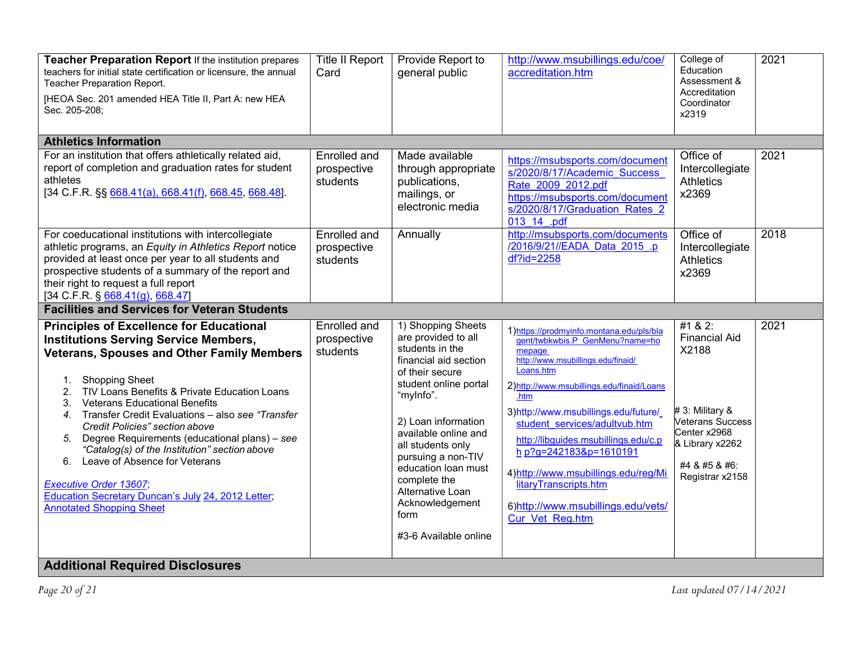| Teacher Preparation Report If the institution prepares<br>teachers for initial state certification or licensure, the annual<br>Teacher Preparation Report.                                                                                                                                                                                                                                                                            | <b>Title II Report</b><br>Card          | Provide Report to<br>general public                                                                                                                                                                                | http://www.msubillings.edu/coe/<br>accreditation.htm                                                                                                                                                                                                                                                            | College of<br>Education<br>Assessment &<br>Accreditation                                                           | 2021 |
|---------------------------------------------------------------------------------------------------------------------------------------------------------------------------------------------------------------------------------------------------------------------------------------------------------------------------------------------------------------------------------------------------------------------------------------|-----------------------------------------|--------------------------------------------------------------------------------------------------------------------------------------------------------------------------------------------------------------------|-----------------------------------------------------------------------------------------------------------------------------------------------------------------------------------------------------------------------------------------------------------------------------------------------------------------|--------------------------------------------------------------------------------------------------------------------|------|
| [HEOA Sec. 201 amended HEA Title II, Part A: new HEA<br>Sec. 205-208;                                                                                                                                                                                                                                                                                                                                                                 |                                         |                                                                                                                                                                                                                    |                                                                                                                                                                                                                                                                                                                 | Coordinator<br>x2319                                                                                               |      |
| <b>Athletics Information</b>                                                                                                                                                                                                                                                                                                                                                                                                          |                                         |                                                                                                                                                                                                                    |                                                                                                                                                                                                                                                                                                                 |                                                                                                                    |      |
| For an institution that offers athletically related aid,<br>report of completion and graduation rates for student<br>athletes<br>$[34 \text{ C.F.R. }$ §§ 668.41(a), 668.41(f), 668.45, 668.48].                                                                                                                                                                                                                                      | Enrolled and<br>prospective<br>students | Made available<br>through appropriate<br>publications,<br>mailings, or<br>electronic media                                                                                                                         | https://msubsports.com/document<br>s/2020/8/17/Academic Success<br>Rate 2009 2012.pdf<br>https://msubsports.com/document<br>s/2020/8/17/Graduation Rates 2<br>013 14 .pdf                                                                                                                                       | Office of<br>Intercollegiate<br><b>Athletics</b><br>x2369                                                          | 2021 |
| For coeducational institutions with intercollegiate<br>athletic programs, an Equity in Athletics Report notice<br>provided at least once per year to all students and<br>prospective students of a summary of the report and<br>their right to request a full report<br>[34 C.F.R. § 668.41(g), 668.47]                                                                                                                               | Enrolled and<br>prospective<br>students | Annually                                                                                                                                                                                                           | http://msubsports.com/documents<br>/2016/9/21//EADA Data 2015 .p<br>df?id=2258                                                                                                                                                                                                                                  | Office of<br>Intercollegiate<br><b>Athletics</b><br>x2369                                                          | 2018 |
| <b>Facilities and Services for Veteran Students</b>                                                                                                                                                                                                                                                                                                                                                                                   |                                         |                                                                                                                                                                                                                    |                                                                                                                                                                                                                                                                                                                 |                                                                                                                    |      |
| <b>Principles of Excellence for Educational</b><br><b>Institutions Serving Service Members,</b><br><b>Veterans, Spouses and Other Family Members</b><br><b>Shopping Sheet</b><br>1.<br>TIV Loans Benefits & Private Education Loans<br>2.<br><b>Veterans Educational Benefits</b><br>3.<br>Transfer Credit Evaluations - also see "Transfer"<br>4.<br>Credit Policies" section above<br>Degree Requirements (educational plans) - see | Enrolled and<br>prospective<br>students | 1) Shopping Sheets<br>are provided to all<br>students in the<br>financial aid section<br>of their secure<br>student online portal<br>"myInfo".<br>2) Loan information<br>available online and<br>all students only | 1) https://prodmyinfo.montana.edu/pls/bla<br>gent/twbkwbis.P GenMenu?name=ho<br>mepage<br>http://www.msubillings.edu/finaid/<br>Loans.htm<br>2)http://www.msubillings.edu/finaid/Loans<br>.htm<br>3)http://www.msubillings.edu/future/<br>student services/adultvub.htm<br>http://libguides.msubillings.edu/c.p | #1 & 2:<br><b>Financial Aid</b><br>X2188<br># 3: Military &<br>Veterans Success<br>Center x2968<br>& Library x2262 | 2021 |
| "Catalog(s) of the Institution" section above<br>Leave of Absence for Veterans<br>6.<br><b>Executive Order 13607,</b><br><b>Education Secretary Duncan's July 24, 2012 Letter;</b><br><b>Annotated Shopping Sheet</b>                                                                                                                                                                                                                 |                                         | pursuing a non-TIV<br>education loan must<br>complete the<br>Alternative Loan<br>Acknowledgement<br>form<br>#3-6 Available online                                                                                  | h p?g=242183&p=1610191<br>4) http://www.msubillings.edu/reg/Mi<br>litaryTranscripts.htm<br>6)http://www.msubillings.edu/vets/<br>Cur Vet Reg.htm                                                                                                                                                                | #4 & #5 & #6:<br>Registrar x2158                                                                                   |      |
| Additional Dequired Diaglecures                                                                                                                                                                                                                                                                                                                                                                                                       |                                         |                                                                                                                                                                                                                    |                                                                                                                                                                                                                                                                                                                 |                                                                                                                    |      |

## Additional Required Disclosures